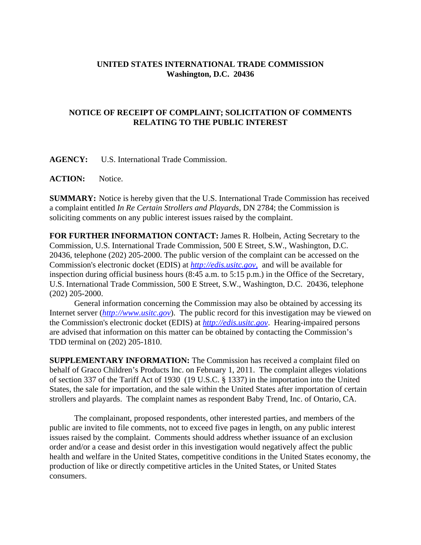## **UNITED STATES INTERNATIONAL TRADE COMMISSION Washington, D.C. 20436**

## **NOTICE OF RECEIPT OF COMPLAINT; SOLICITATION OF COMMENTS RELATING TO THE PUBLIC INTEREST**

**AGENCY:** U.S. International Trade Commission.

**ACTION:** Notice.

**SUMMARY:** Notice is hereby given that the U.S. International Trade Commission has received a complaint entitled *In Re Certain Strollers and Playards*, DN 2784; the Commission is soliciting comments on any public interest issues raised by the complaint.

**FOR FURTHER INFORMATION CONTACT:** James R. Holbein, Acting Secretary to the Commission, U.S. International Trade Commission, 500 E Street, S.W., Washington, D.C. 20436, telephone (202) 205-2000. The public version of the complaint can be accessed on the Commission's electronic docket (EDIS) at *http://edis.usitc.gov*, and will be available for inspection during official business hours (8:45 a.m. to 5:15 p.m.) in the Office of the Secretary, U.S. International Trade Commission, 500 E Street, S.W., Washington, D.C. 20436, telephone (202) 205-2000.

General information concerning the Commission may also be obtained by accessing its Internet server (*http://www.usitc.gov*). The public record for this investigation may be viewed on the Commission's electronic docket (EDIS) at *http://edis.usitc.gov*. Hearing-impaired persons are advised that information on this matter can be obtained by contacting the Commission's TDD terminal on (202) 205-1810.

**SUPPLEMENTARY INFORMATION:** The Commission has received a complaint filed on behalf of Graco Children's Products Inc. on February 1, 2011. The complaint alleges violations of section 337 of the Tariff Act of 1930 (19 U.S.C. § 1337) in the importation into the United States, the sale for importation, and the sale within the United States after importation of certain strollers and playards. The complaint names as respondent Baby Trend, Inc. of Ontario, CA.

The complainant, proposed respondents, other interested parties, and members of the public are invited to file comments, not to exceed five pages in length, on any public interest issues raised by the complaint. Comments should address whether issuance of an exclusion order and/or a cease and desist order in this investigation would negatively affect the public health and welfare in the United States, competitive conditions in the United States economy, the production of like or directly competitive articles in the United States, or United States consumers.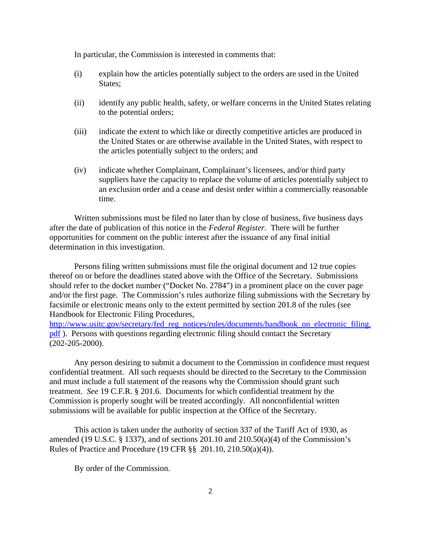In particular, the Commission is interested in comments that:

- (i) explain how the articles potentially subject to the orders are used in the United States;
- (ii) identify any public health, safety, or welfare concerns in the United States relating to the potential orders;
- (iii) indicate the extent to which like or directly competitive articles are produced in the United States or are otherwise available in the United States, with respect to the articles potentially subject to the orders; and
- (iv) indicate whether Complainant, Complainant's licensees, and/or third party suppliers have the capacity to replace the volume of articles potentially subject to an exclusion order and a cease and desist order within a commercially reasonable time.

Written submissions must be filed no later than by close of business, five business days after the date of publication of this notice in the *Federal Register*. There will be further opportunities for comment on the public interest after the issuance of any final initial determination in this investigation.

Persons filing written submissions must file the original document and 12 true copies thereof on or before the deadlines stated above with the Office of the Secretary. Submissions should refer to the docket number ("Docket No. 2784") in a prominent place on the cover page and/or the first page. The Commission's rules authorize filing submissions with the Secretary by facsimile or electronic means only to the extent permitted by section 201.8 of the rules (see Handbook for Electronic Filing Procedures,

http://www.usitc.gov/secretary/fed\_reg\_notices/rules/documents/handbook\_on\_electronic\_filing. pdf ). Persons with questions regarding electronic filing should contact the Secretary (202-205-2000).

Any person desiring to submit a document to the Commission in confidence must request confidential treatment. All such requests should be directed to the Secretary to the Commission and must include a full statement of the reasons why the Commission should grant such treatment. *See* 19 C.F.R. § 201.6. Documents for which confidential treatment by the Commission is properly sought will be treated accordingly. All nonconfidential written submissions will be available for public inspection at the Office of the Secretary.

This action is taken under the authority of section 337 of the Tariff Act of 1930, as amended (19 U.S.C.  $\S$  1337), and of sections 201.10 and 210.50(a)(4) of the Commission's Rules of Practice and Procedure (19 CFR §§ 201.10, 210.50(a)(4)).

By order of the Commission.